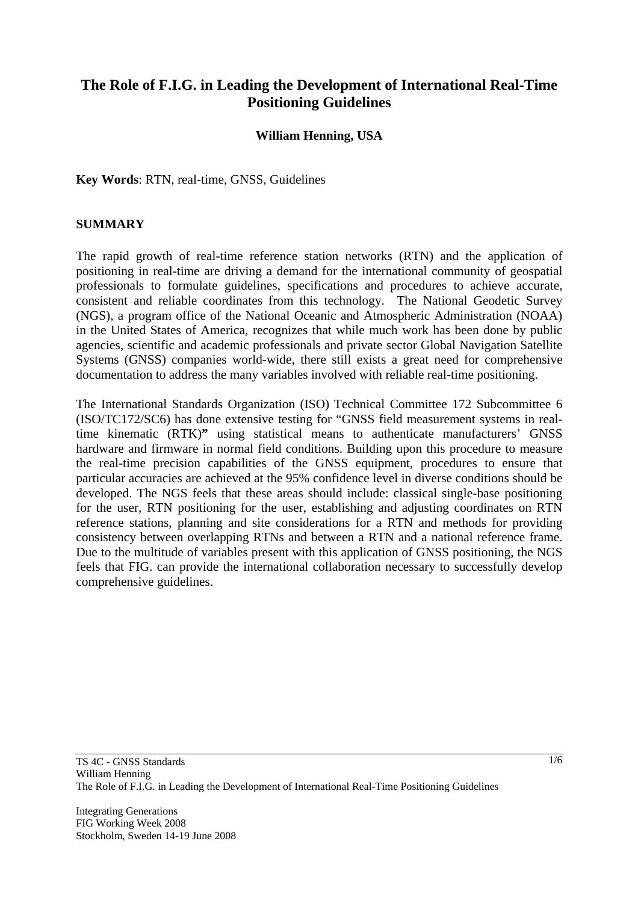# **The Role of F.I.G. in Leading the Development of International Real-Time Positioning Guidelines**

#### **William Henning, USA**

**Key Words**: RTN, real-time, GNSS, Guidelines

#### **SUMMARY**

The rapid growth of real-time reference station networks (RTN) and the application of positioning in real-time are driving a demand for the international community of geospatial professionals to formulate guidelines, specifications and procedures to achieve accurate, consistent and reliable coordinates from this technology. The National Geodetic Survey (NGS), a program office of the National Oceanic and Atmospheric Administration (NOAA) in the United States of America, recognizes that while much work has been done by public agencies, scientific and academic professionals and private sector Global Navigation Satellite Systems (GNSS) companies world-wide, there still exists a great need for comprehensive documentation to address the many variables involved with reliable real-time positioning.

The International Standards Organization (ISO) Technical Committee 172 Subcommittee 6 (ISO/TC172/SC6) has done extensive testing for "GNSS field measurement systems in realtime kinematic (RTK)**"** using statistical means to authenticate manufacturers' GNSS hardware and firmware in normal field conditions. Building upon this procedure to measure the real-time precision capabilities of the GNSS equipment, procedures to ensure that particular accuracies are achieved at the 95% confidence level in diverse conditions should be developed. The NGS feels that these areas should include: classical single-base positioning for the user, RTN positioning for the user, establishing and adjusting coordinates on RTN reference stations, planning and site considerations for a RTN and methods for providing consistency between overlapping RTNs and between a RTN and a national reference frame. Due to the multitude of variables present with this application of GNSS positioning, the NGS feels that FIG. can provide the international collaboration necessary to successfully develop comprehensive guidelines.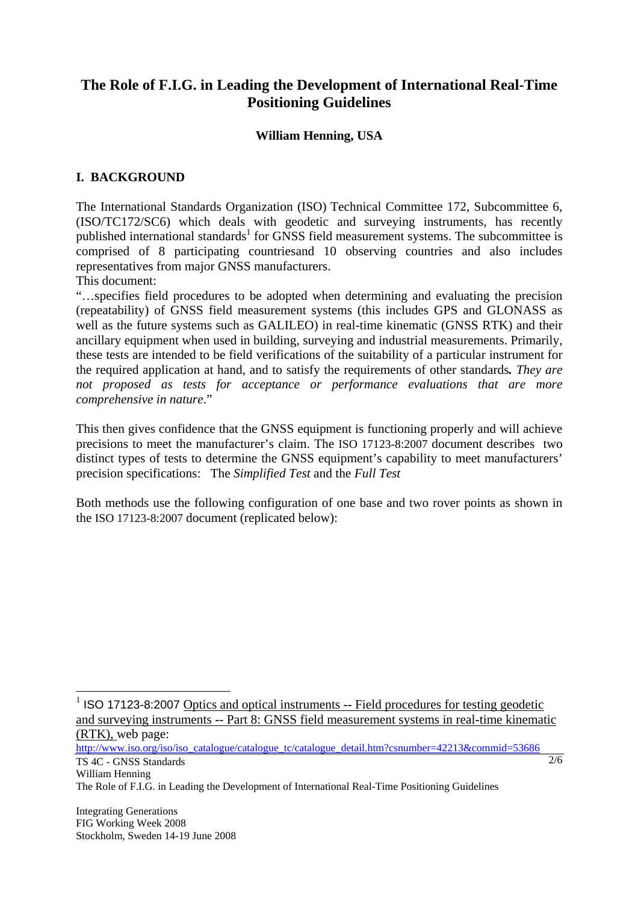# **The Role of F.I.G. in Leading the Development of International Real-Time Positioning Guidelines**

### **William Henning, USA**

## **I. BACKGROUND**

The International Standards Organization (ISO) Technical Committee 172, Subcommittee 6, (ISO/TC172/SC6) which deals with geodetic and surveying instruments, has recently published international standards<sup>1</sup> for GNSS field measurement systems. The subcommittee is comprised of 8 participating countriesand 10 observing countries and also includes representatives from major GNSS manufacturers.

This document:

"…specifies field procedures to be adopted when determining and evaluating the precision (repeatability) of GNSS field measurement systems (this includes GPS and GLONASS as well as the future systems such as GALILEO) in real-time kinematic (GNSS RTK) and their ancillary equipment when used in building, surveying and industrial measurements. Primarily, these tests are intended to be field verifications of the suitability of a particular instrument for the required application at hand, and to satisfy the requirements of other standards*. They are*  not proposed as tests for acceptance or performance evaluations that are more *comprehensive in nature*."

This then gives confidence that the GNSS equipment is functioning properly and will achieve precisions to meet the manufacturer's claim. The ISO 17123-8:2007 document describes two distinct types of tests to determine the GNSS equipment's capability to meet manufacturers' precision specifications: The *Simplified Test* and the *Full Test*

Both methods use the following configuration of one base and two rover points as shown in the ISO 17123-8:2007 document (replicated below):

<sup>1</sup> ISO 17123-8:2007 Optics and optical instruments -- Field procedures for testing geodetic and surveying instruments -- Part 8: GNSS field measurement systems in real-time kinematic (RTK), web page:

 $2/6$ 

TS 4C - GNSS Standards http://www.iso.org/iso/iso\_catalogue/catalogue\_tc/catalogue\_detail.htm?csnumber=42213&commid=53686

William Henning

 $\overline{a}$ 

The Role of F.I.G. in Leading the Development of International Real-Time Positioning Guidelines

Integrating Generations FIG Working Week 2008 Stockholm, Sweden 14-19 June 2008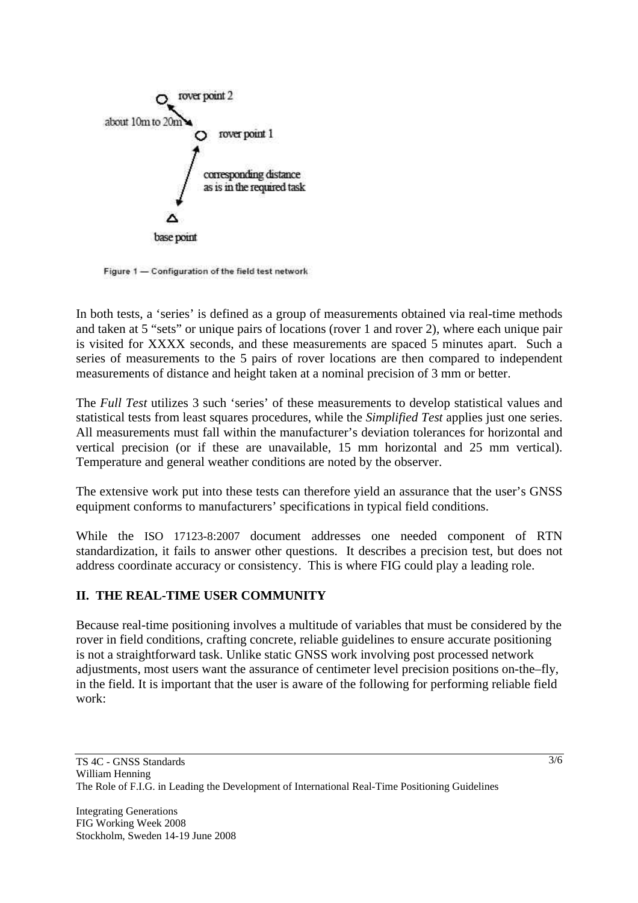

Figure 1 - Configuration of the field test network

In both tests, a 'series' is defined as a group of measurements obtained via real-time methods and taken at 5 "sets" or unique pairs of locations (rover 1 and rover 2), where each unique pair is visited for XXXX seconds, and these measurements are spaced 5 minutes apart. Such a series of measurements to the 5 pairs of rover locations are then compared to independent measurements of distance and height taken at a nominal precision of 3 mm or better.

The *Full Test* utilizes 3 such 'series' of these measurements to develop statistical values and statistical tests from least squares procedures, while the *Simplified Test* applies just one series. All measurements must fall within the manufacturer's deviation tolerances for horizontal and vertical precision (or if these are unavailable, 15 mm horizontal and 25 mm vertical). Temperature and general weather conditions are noted by the observer.

The extensive work put into these tests can therefore yield an assurance that the user's GNSS equipment conforms to manufacturers' specifications in typical field conditions.

While the ISO 17123-8:2007 document addresses one needed component of RTN standardization, it fails to answer other questions. It describes a precision test, but does not address coordinate accuracy or consistency. This is where FIG could play a leading role.

# **II. THE REAL-TIME USER COMMUNITY**

Because real-time positioning involves a multitude of variables that must be considered by the rover in field conditions, crafting concrete, reliable guidelines to ensure accurate positioning is not a straightforward task. Unlike static GNSS work involving post processed network adjustments, most users want the assurance of centimeter level precision positions on-the–fly, in the field. It is important that the user is aware of the following for performing reliable field work: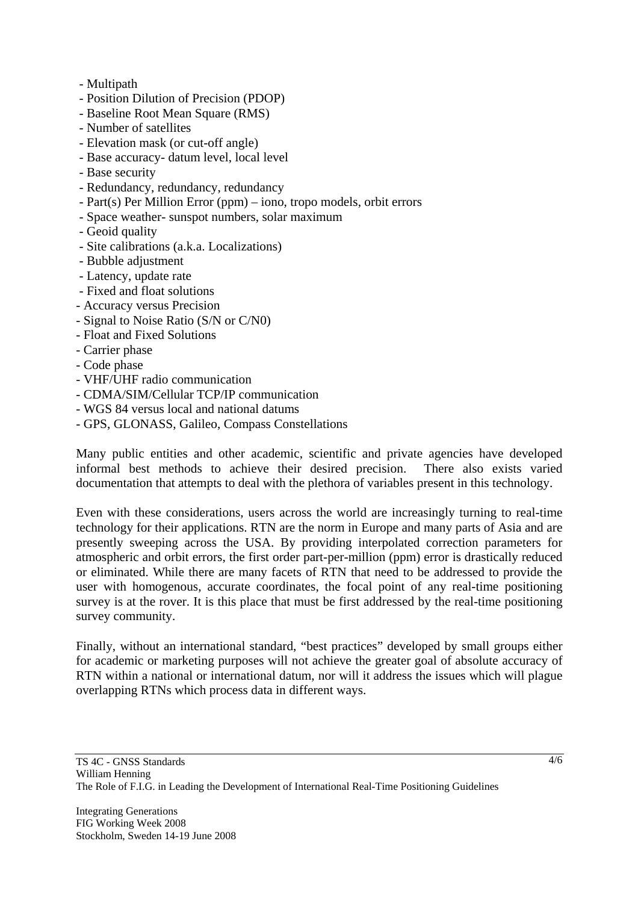- Multipath
- Position Dilution of Precision (PDOP)
- Baseline Root Mean Square (RMS)
- Number of satellites
- Elevation mask (or cut-off angle)
- Base accuracy- datum level, local level
- Base security
- Redundancy, redundancy, redundancy
- Part(s) Per Million Error (ppm) iono, tropo models, orbit errors
- Space weather- sunspot numbers, solar maximum
- Geoid quality
- Site calibrations (a.k.a. Localizations)
- Bubble adjustment
- Latency, update rate
- Fixed and float solutions
- Accuracy versus Precision
- Signal to Noise Ratio (S/N or C/N0)
- Float and Fixed Solutions
- Carrier phase
- Code phase
- VHF/UHF radio communication
- CDMA/SIM/Cellular TCP/IP communication
- WGS 84 versus local and national datums
- GPS, GLONASS, Galileo, Compass Constellations

Many public entities and other academic, scientific and private agencies have developed informal best methods to achieve their desired precision. There also exists varied documentation that attempts to deal with the plethora of variables present in this technology.

Even with these considerations, users across the world are increasingly turning to real-time technology for their applications. RTN are the norm in Europe and many parts of Asia and are presently sweeping across the USA. By providing interpolated correction parameters for atmospheric and orbit errors, the first order part-per-million (ppm) error is drastically reduced or eliminated. While there are many facets of RTN that need to be addressed to provide the user with homogenous, accurate coordinates, the focal point of any real-time positioning survey is at the rover. It is this place that must be first addressed by the real-time positioning survey community.

Finally, without an international standard, "best practices" developed by small groups either for academic or marketing purposes will not achieve the greater goal of absolute accuracy of RTN within a national or international datum, nor will it address the issues which will plague overlapping RTNs which process data in different ways.

4/6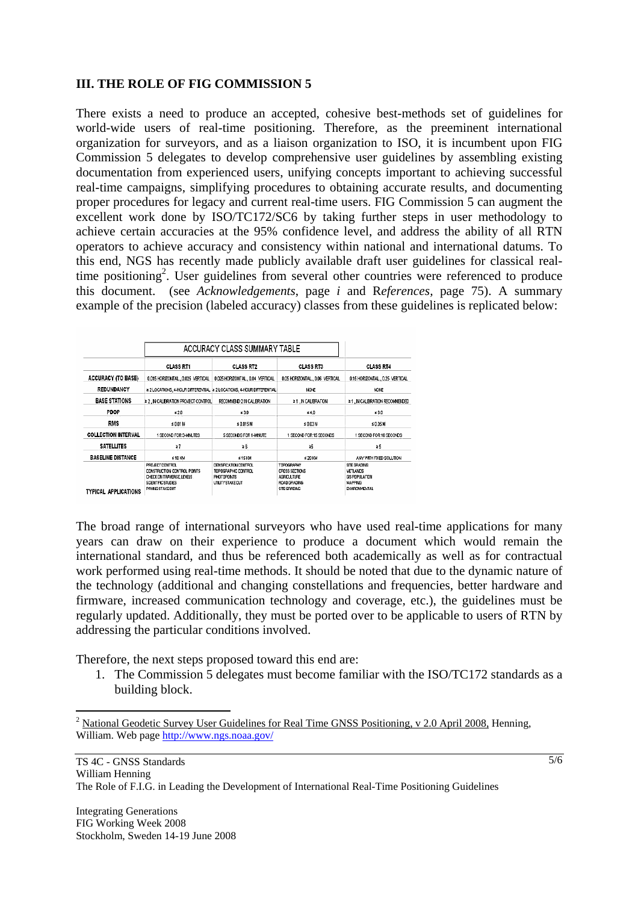#### **III. THE ROLE OF FIG COMMISSION 5**

There exists a need to produce an accepted, cohesive best-methods set of guidelines for world-wide users of real-time positioning. Therefore, as the preeminent international organization for surveyors, and as a liaison organization to ISO, it is incumbent upon FIG Commission 5 delegates to develop comprehensive user guidelines by assembling existing documentation from experienced users, unifying concepts important to achieving successful real-time campaigns, simplifying procedures to obtaining accurate results, and documenting proper procedures for legacy and current real-time users. FIG Commission 5 can augment the excellent work done by ISO/TC172/SC6 by taking further steps in user methodology to achieve certain accuracies at the 95% confidence level, and address the ability of all RTN operators to achieve accuracy and consistency within national and international datums. To this end, NGS has recently made publicly available draft user guidelines for classical realtime positioning<sup>2</sup>. User guidelines from several other countries were referenced to produce this document. (see *Acknowledgements*, page *i* and R*eferences,* page 75). A summary example of the precision (labeled accuracy) classes from these guidelines is replicated below:

|                             | ACCURACY CLASS SUMMARY TABLE                                                                                         |                                                                                |                                                                                                  |                                                                              |
|-----------------------------|----------------------------------------------------------------------------------------------------------------------|--------------------------------------------------------------------------------|--------------------------------------------------------------------------------------------------|------------------------------------------------------------------------------|
|                             | <b>CLASS RT1</b>                                                                                                     | <b>CLASS RT2</b>                                                               | <b>CLASS RT3</b>                                                                                 | <b>CLASS RT4</b>                                                             |
| <b>ACCURACY (TO BASE)</b>   | 0.015 HORIZONTAL., 0.025 VERTICAL                                                                                    | 0.025 HORIZONTAL., 0.04 VERTICAL                                               | 0.05 HORIZONTAL., 0.06 VERTICAL                                                                  | 0.15 HORIZONTAL., 0.25 VERTICAL                                              |
| REDUNDANCY                  | 2 2 LOCATIONS, 4-HOUR DIFFERENTIAL 12 2 LOCATIONS, 4-HOUR DIFFERENTIAL                                               |                                                                                | <b>NONE</b>                                                                                      | NONE                                                                         |
| <b>BASE STATIONS</b>        | 2 2 . IN CALERATION PROJECT CONTROL                                                                                  | RECOMMEND 2 IN CALERATION                                                      | 21. N CALIBRATION                                                                                | 21, N CALERATION RECOMMENDED                                                 |
| <b>PDOP</b>                 | $\leq 2.0$                                                                                                           | \$3.0                                                                          | $\leq 4.0$                                                                                       | ≤60                                                                          |
| <b>RMS</b>                  | ≤ 0.01 M                                                                                                             | s 0.015 M                                                                      | < 0.03 M                                                                                         | \$0.05 M                                                                     |
| <b>COLLECTION INTERVAL</b>  | 1 SECOND FOR 3-MINUTES                                                                                               | 5 SECONDS FOR 1-MNUTE                                                          | 1 SECOND FOR 15 SECONDS                                                                          | 1 SECOND FOR 10 SECONDS                                                      |
| <b>SATELLITES</b>           | $\geq 7$                                                                                                             | 26                                                                             | 呂                                                                                                | 25                                                                           |
| <b>BASELINE DISTANCE</b>    | <b>510 KM</b>                                                                                                        | s 15 KM                                                                        | ≤ 20 KM                                                                                          | ANY WITH FIXED SOLUTION                                                      |
| <b>TYPICAL APPLICATIONS</b> | PROJECT CONTROL<br>CONSTRUCTION CONTROL POINTS<br>CHECK ON TRAVERSE LEVELS<br>SCIENTIFIC STUDIES<br>PAVING STAKE OUT | DENSIFICATION CONTROL<br>TOPOGRAPHIC CONTROL<br>PHOTOPONTS<br>UTLITY STAKE OUT | <b>TOPOGRAPHY</b><br><b>CROSS SECTIONS</b><br><b>AGRICULTURE</b><br>ROAD GRADING<br>SITE GRADING | SITE GRADING<br>VETLANDS<br><b>GISPOPULATION</b><br>MAPPINE<br>EMVIROMMENTAL |

The broad range of international surveyors who have used real-time applications for many years can draw on their experience to produce a document which would remain the international standard, and thus be referenced both academically as well as for contractual work performed using real-time methods. It should be noted that due to the dynamic nature of the technology (additional and changing constellations and frequencies, better hardware and firmware, increased communication technology and coverage, etc.), the guidelines must be regularly updated. Additionally, they must be ported over to be applicable to users of RTN by addressing the particular conditions involved.

Therefore, the next steps proposed toward this end are:

1. The Commission 5 delegates must become familiar with the ISO/TC172 standards as a building block.

 $\overline{a}$ 

<sup>&</sup>lt;sup>2</sup> National Geodetic Survey User Guidelines for Real Time GNSS Positioning, v 2.0 April 2008, Henning, William. Web page http://www.ngs.noaa.gov/